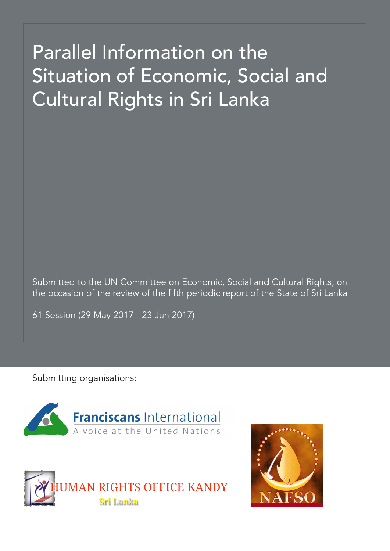# Parallel Information on the Situation of Economic, Social and Cultural Rights in Sri Lanka

Submitted to the UN Committee on Economic, Social and Cultural Rights, on the occasion of the review of the fifth periodic report of the State of Sri Lanka

61 Session (29 May 2017 - 23 Jun 2017)

Submitting organisations:





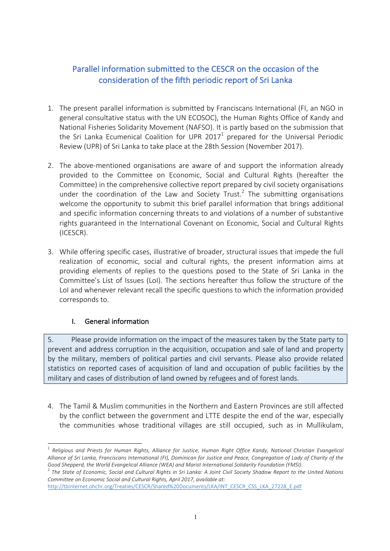## Parallel information submitted to the CESCR on the occasion of the consideration of the fifth periodic report of Sri Lanka

- 1. The present parallel information is submitted by Franciscans International (FI, an NGO in general consultative status with the UN ECOSOC), the Human Rights Office of Kandy and National Fisheries Solidarity Movement (NAFSO). It is partly based on the submission that the Sri Lanka Ecumenical Coalition for UPR 2017<sup>1</sup> prepared for the Universal Periodic Review (UPR) of Sri Lanka to take place at the 28th Session (November 2017).
- 2. The above-mentioned organisations are aware of and support the information already provided to the Committee on Economic, Social and Cultural Rights (hereafter the Committee) in the comprehensive collective report prepared by civil society organisations under the coordination of the Law and Society Trust.<sup>2</sup> The submitting organisations welcome the opportunity to submit this brief parallel information that brings additional and specific information concerning threats to and violations of a number of substantive rights guaranteed in the International Covenant on Economic, Social and Cultural Rights (ICESCR).
- 3. While offering specific cases, illustrative of broader, structural issues that impede the full realization of economic, social and cultural rights, the present information aims at providing elements of replies to the questions posed to the State of Sri Lanka in the Committee's List of Issues (LoI). The sections hereafter thus follow the structure of the LoI and whenever relevant recall the specific questions to which the information provided corresponds to.

#### I. General information

5. Please provide information on the impact of the measures taken by the State party to prevent and address corruption in the acquisition, occupation and sale of land and property by the military, members of political parties and civil servants. Please also provide related statistics on reported cases of acquisition of land and occupation of public facilities by the military and cases of distribution of land owned by refugees and of forest lands.

4. The Tamil & Muslim communities in the Northern and Eastern Provinces are still affected by the conflict between the government and LTTE despite the end of the war, especially the communities whose traditional villages are still occupied, such as in Mullikulam,

<sup>&</sup>lt;sup>1</sup> Religious and Priests for Human Rights, Alliance for Justice, Human Right Office Kandy, National Christian Evangelical Alliance of Sri Lanka, Franciscans International (FI), Dominican for Justice and Peace, Congregation of Lady of Charity of the Good Shepperd, the World Evangelical Alliance (WEA) and Marist International Solidarity Foundation (FMSI).

<sup>&</sup>lt;sup>2</sup> The State of Economic, Social and Cultural Rights in Sri Lanka: A Joint Civil Society Shadow Report to the United Nations *Committee on Economic Social and Cultural Rights, April 2017, available at:* 

http://tbinternet.ohchr.org/Treaties/CESCR/Shared%20Documents/LKA/INT\_CESCR\_CSS\_LKA\_27228\_E.pdf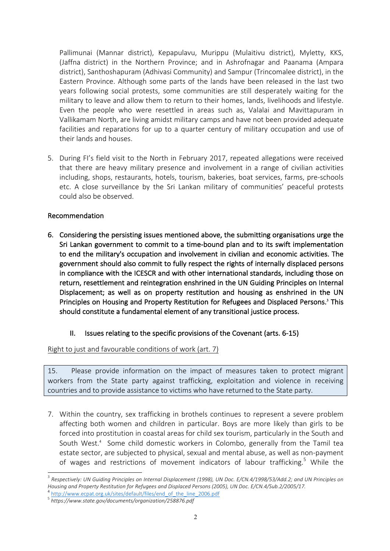Pallimunai (Mannar district), Kepapulavu, Murippu (Mulaitivu district), Myletty, KKS, (Jaffna district) in the Northern Province; and in Ashrofnagar and Paanama (Ampara district), Santhoshapuram (Adhivasi Community) and Sampur (Trincomalee district), in the Eastern Province. Although some parts of the lands have been released in the last two years following social protests, some communities are still desperately waiting for the military to leave and allow them to return to their homes, lands, livelihoods and lifestyle. Even the people who were resettled in areas such as, Valalai and Mavittapuram in Vallikamam North, are living amidst military camps and have not been provided adequate facilities and reparations for up to a quarter century of military occupation and use of their lands and houses.

5. During FI's field visit to the North in February 2017, repeated allegations were received that there are heavy military presence and involvement in a range of civilian activities including, shops, restaurants, hotels, tourism, bakeries, boat services, farms, pre-schools etc. A close surveillance by the Sri Lankan military of communities' peaceful protests could also be observed.

#### Recommendation

6. Considering the persisting issues mentioned above, the submitting organisations urge the Sri Lankan government to commit to a time-bound plan and to its swift implementation to end the military's occupation and involvement in civilian and economic activities. The government should also commit to fully respect the rights of internally displaced persons in compliance with the ICESCR and with other international standards, including those on return, resettlement and reintegration enshrined in the UN Guiding Principles on Internal Displacement; as well as on property restitution and housing as enshrined in the UN Principles on Housing and Property Restitution for Refugees and Displaced Persons.<sup>3</sup> This should constitute a fundamental element of any transitional justice process.

### II. Issues relating to the specific provisions of the Covenant (arts. 6-15)

#### Right to just and favourable conditions of work (art.  $7$ )

15. Please provide information on the impact of measures taken to protect migrant workers from the State party against trafficking, exploitation and violence in receiving countries and to provide assistance to victims who have returned to the State party.

7. Within the country, sex trafficking in brothels continues to represent a severe problem affecting both women and children in particular. Boys are more likely than girls to be forced into prostitution in coastal areas for child sex tourism, particularly in the South and South West.<sup>4</sup> Some child domestic workers in Colombo, generally from the Tamil tea estate sector, are subjected to physical, sexual and mental abuse, as well as non-payment of wages and restrictions of movement indicators of labour trafficking.<sup>5</sup> While the

 $3$  Respectively: UN Guiding Principles on Internal Displacement (1998), UN Doc. E/CN.4/1998/53/Add.2; and UN Principles on *Housing and Property Restitution for Refugees and Displaced Persons (2005), UN Doc. E/CN.4/Sub.2/2005/17.* 

<sup>&</sup>lt;sup>4</sup> http://www.ecpat.org.uk/sites/default/files/end\_of\_the\_line\_2006.pdf

<sup>5</sup> *https://www.state.gov/documents/organization/258876.pdf*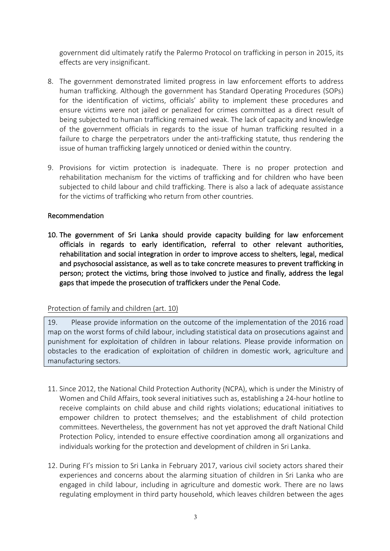government did ultimately ratify the Palermo Protocol on trafficking in person in 2015, its effects are very insignificant.

- 8. The government demonstrated limited progress in law enforcement efforts to address human trafficking. Although the government has Standard Operating Procedures (SOPs) for the identification of victims, officials' ability to implement these procedures and ensure victims were not jailed or penalized for crimes committed as a direct result of being subjected to human trafficking remained weak. The lack of capacity and knowledge of the government officials in regards to the issue of human trafficking resulted in a failure to charge the perpetrators under the anti-trafficking statute, thus rendering the issue of human trafficking largely unnoticed or denied within the country.
- 9. Provisions for victim protection is inadequate. There is no proper protection and rehabilitation mechanism for the victims of trafficking and for children who have been subjected to child labour and child trafficking. There is also a lack of adequate assistance for the victims of trafficking who return from other countries.

#### Recommendation

10. The government of Sri Lanka should provide capacity building for law enforcement officials in regards to early identification, referral to other relevant authorities, rehabilitation and social integration in order to improve access to shelters, legal, medical and psychosocial assistance, as well as to take concrete measures to prevent trafficking in person; protect the victims, bring those involved to justice and finally, address the legal gaps that impede the prosecution of traffickers under the Penal Code.

#### Protection of family and children (art. 10)

19. Please provide information on the outcome of the implementation of the 2016 road map on the worst forms of child labour, including statistical data on prosecutions against and punishment for exploitation of children in labour relations. Please provide information on obstacles to the eradication of exploitation of children in domestic work, agriculture and manufacturing sectors.

- 11. Since 2012, the National Child Protection Authority (NCPA), which is under the Ministry of Women and Child Affairs, took several initiatives such as, establishing a 24-hour hotline to receive complaints on child abuse and child rights violations; educational initiatives to empower children to protect themselves; and the establishment of child protection committees. Nevertheless, the government has not yet approved the draft National Child Protection Policy, intended to ensure effective coordination among all organizations and individuals working for the protection and development of children in Sri Lanka.
- 12. During FI's mission to Sri Lanka in February 2017, various civil society actors shared their experiences and concerns about the alarming situation of children in Sri Lanka who are engaged in child labour, including in agriculture and domestic work. There are no laws regulating employment in third party household, which leaves children between the ages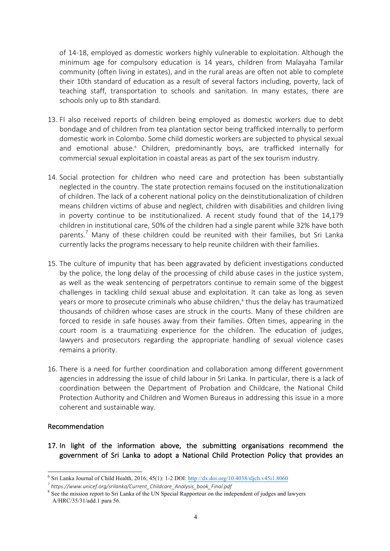of 14-18, employed as domestic workers highly vulnerable to exploitation. Although the minimum age for compulsory education is 14 years, children from Malayaha Tamilar community (often living in estates), and in the rural areas are often not able to complete their 10th standard of education as a result of several factors including, poverty, lack of teaching staff, transportation to schools and sanitation. In many estates, there are schools only up to 8th standard.

- 13. FI also received reports of children being employed as domestic workers due to debt bondage and of children from tea plantation sector being trafficked internally to perform domestic work in Colombo. Some child domestic workers are subjected to physical sexual and emotional abuse.<sup>6</sup> Children, predominantly boys, are trafficked internally for commercial sexual exploitation in coastal areas as part of the sex tourism industry.
- 14. Social protection for children who need care and protection has been substantially neglected in the country. The state protection remains focused on the institutionalization of children. The lack of a coherent national policy on the deinstitutionalization of children means children victims of abuse and neglect, children with disabilities and children living in poverty continue to be institutionalized. A recent study found that of the  $14,179$ children in institutional care, 50% of the children had a single parent while 32% have both parents.<sup>7</sup> Many of these children could be reunited with their families, but Sri Lanka currently lacks the programs necessary to help reunite children with their families.
- 15. The culture of impunity that has been aggravated by deficient investigations conducted by the police, the long delay of the processing of child abuse cases in the justice system, as well as the weak sentencing of perpetrators continue to remain some of the biggest challenges in tackling child sexual abuse and exploitation. It can take as long as seven years or more to prosecute criminals who abuse children,<sup>8</sup> thus the delay has traumatized thousands of children whose cases are struck in the courts. Many of these children are forced to reside in safe houses away from their families. Often times, appearing in the court room is a traumatizing experience for the children. The education of judges, lawyers and prosecutors regarding the appropriate handling of sexual violence cases remains a priority.
- 16. There is a need for further coordination and collaboration among different government agencies in addressing the issue of child labour in Sri Lanka. In particular, there is a lack of coordination between the Department of Probation and Childcare, the National Child Protection Authority and Children and Women Bureaus in addressing this issue in a more coherent and sustainable way.

#### Recommendation

17. In light of the information above, the submitting organisations recommend the government of Sri Lanka to adopt a National Child Protection Policy that provides an

 <sup>6</sup> Sri Lanka Journal of Child Health, 2016; 45(1): 1-2 DOI: http://dx.doi.org/10.4038/sljch.v45i1.8060

*<sup>7</sup> https://www.unicef.org/srilanka/Current\_Childcare\_Analysis\_book\_Final.pdf*

<sup>&</sup>lt;sup>8</sup> See the mission report to Sri Lanka of the UN Special Rapporteur on the independent of judges and lawyers A/HRC/35/31/add.1 para 56.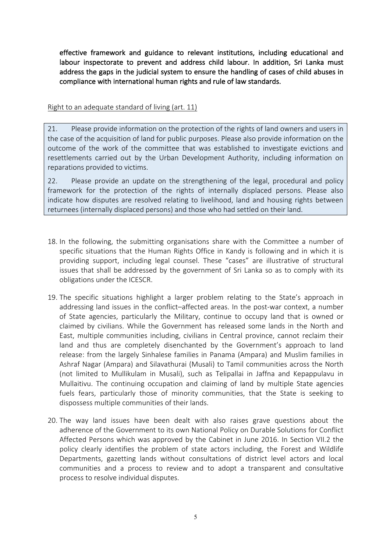effective framework and guidance to relevant institutions, including educational and labour inspectorate to prevent and address child labour. In addition, Sri Lanka must address the gaps in the judicial system to ensure the handling of cases of child abuses in compliance with international human rights and rule of law standards.

#### Right to an adequate standard of living (art.  $11$ )

21. Please provide information on the protection of the rights of land owners and users in the case of the acquisition of land for public purposes. Please also provide information on the outcome of the work of the committee that was established to investigate evictions and resettlements carried out by the Urban Development Authority, including information on reparations provided to victims.

22. Please provide an update on the strengthening of the legal, procedural and policy framework for the protection of the rights of internally displaced persons. Please also indicate how disputes are resolved relating to livelihood, land and housing rights between returnees (internally displaced persons) and those who had settled on their land.

- 18. In the following, the submitting organisations share with the Committee a number of specific situations that the Human Rights Office in Kandy is following and in which it is providing support, including legal counsel. These "cases" are illustrative of structural issues that shall be addressed by the government of Sri Lanka so as to comply with its obligations under the ICESCR.
- 19. The specific situations highlight a larger problem relating to the State's approach in addressing land issues in the conflict–affected areas. In the post-war context, a number of State agencies, particularly the Military, continue to occupy land that is owned or claimed by civilians. While the Government has released some lands in the North and East, multiple communities including, civilians in Central province, cannot reclaim their land and thus are completely disenchanted by the Government's approach to land release: from the largely Sinhalese families in Panama (Ampara) and Muslim families in Ashraf Nagar (Ampara) and Silavathurai (Musali) to Tamil communities across the North (not limited to Mullikulam in Musali), such as Telipallai in Jaffna and Kepappulavu in Mullaitivu. The continuing occupation and claiming of land by multiple State agencies fuels fears, particularly those of minority communities, that the State is seeking to dispossess multiple communities of their lands.
- 20. The way land issues have been dealt with also raises grave questions about the adherence of the Government to its own National Policy on Durable Solutions for Conflict Affected Persons which was approved by the Cabinet in June 2016. In Section VII.2 the policy clearly identifies the problem of state actors including, the Forest and Wildlife Departments, gazetting lands without consultations of district level actors and local communities and a process to review and to adopt a transparent and consultative process to resolve individual disputes.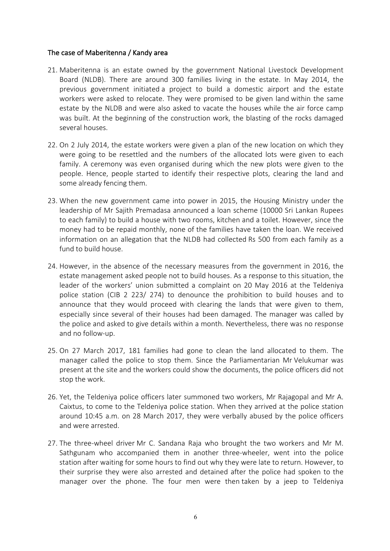#### The case of Maberitenna / Kandy area

- 21. Maberitenna is an estate owned by the government National Livestock Development Board (NLDB). There are around 300 families living in the estate. In May 2014, the previous government initiated a project to build a domestic airport and the estate workers were asked to relocate. They were promised to be given land within the same estate by the NLDB and were also asked to vacate the houses while the air force camp was built. At the beginning of the construction work, the blasting of the rocks damaged several houses.
- 22. On 2 July 2014, the estate workers were given a plan of the new location on which they were going to be resettled and the numbers of the allocated lots were given to each family. A ceremony was even organised during which the new plots were given to the people. Hence, people started to identify their respective plots, clearing the land and some already fencing them.
- 23. When the new government came into power in 2015, the Housing Ministry under the leadership of Mr Sajith Premadasa announced a loan scheme (10000 Sri Lankan Rupees to each family) to build a house with two rooms, kitchen and a toilet. However, since the money had to be repaid monthly, none of the families have taken the loan. We received information on an allegation that the NLDB had collected Rs 500 from each family as a fund to build house.
- 24. However, in the absence of the necessary measures from the government in 2016, the estate management asked people not to build houses. As a response to this situation, the leader of the workers' union submitted a complaint on 20 May 2016 at the Teldeniya police station (CIB 2 223/ 274) to denounce the prohibition to build houses and to announce that they would proceed with clearing the lands that were given to them, especially since several of their houses had been damaged. The manager was called by the police and asked to give details within a month. Nevertheless, there was no response and no follow-up.
- 25. On 27 March 2017, 181 families had gone to clean the land allocated to them. The manager called the police to stop them. Since the Parliamentarian Mr Velukumar was present at the site and the workers could show the documents, the police officers did not stop the work.
- 26. Yet, the Teldeniya police officers later summoned two workers, Mr Rajagopal and Mr A. Caixtus, to come to the Teldeniya police station. When they arrived at the police station around 10:45 a.m. on 28 March 2017, they were verbally abused by the police officers and were arrested.
- 27. The three-wheel driver Mr C. Sandana Raja who brought the two workers and Mr M. Sathgunam who accompanied them in another three-wheeler, went into the police station after waiting for some hours to find out why they were late to return. However, to their surprise they were also arrested and detained after the police had spoken to the manager over the phone. The four men were then taken by a jeep to Teldeniya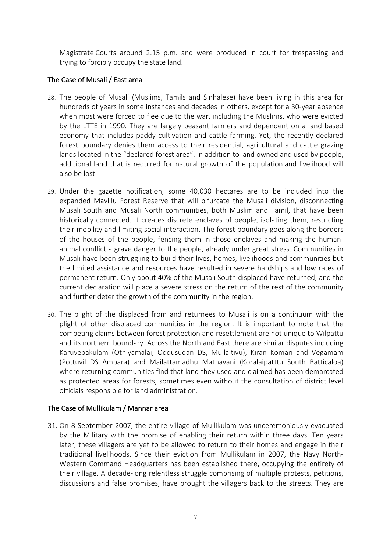Magistrate Courts around 2.15 p.m. and were produced in court for trespassing and trying to forcibly occupy the state land.

#### The Case of Musali / East area

- 28. The people of Musali (Muslims, Tamils and Sinhalese) have been living in this area for hundreds of years in some instances and decades in others, except for a 30-year absence when most were forced to flee due to the war, including the Muslims, who were evicted by the LTTE in 1990. They are largely peasant farmers and dependent on a land based economy that includes paddy cultivation and cattle farming. Yet, the recently declared forest boundary denies them access to their residential, agricultural and cattle grazing lands located in the "declared forest area". In addition to land owned and used by people, additional land that is required for natural growth of the population and livelihood will also be lost.
- 29. Under the gazette notification, some 40,030 hectares are to be included into the expanded Mavillu Forest Reserve that will bifurcate the Musali division, disconnecting Musali South and Musali North communities, both Muslim and Tamil, that have been historically connected. It creates discrete enclaves of people, isolating them, restricting their mobility and limiting social interaction. The forest boundary goes along the borders of the houses of the people, fencing them in those enclaves and making the humananimal conflict a grave danger to the people, already under great stress. Communities in Musali have been struggling to build their lives, homes, livelihoods and communities but the limited assistance and resources have resulted in severe hardships and low rates of permanent return. Only about 40% of the Musali South displaced have returned, and the current declaration will place a severe stress on the return of the rest of the community and further deter the growth of the community in the region.
- 30. The plight of the displaced from and returnees to Musali is on a continuum with the plight of other displaced communities in the region. It is important to note that the competing claims between forest protection and resettlement are not unique to Wilpattu and its northern boundary. Across the North and East there are similar disputes including Karuvepakulam (Othiyamalai, Oddusudan DS, Mullaitivu), Kiran Komari and Vegamam (Pottuvil DS Ampara) and Mailattamadhu Mathavani (Koralaipatttu South Batticaloa) where returning communities find that land they used and claimed has been demarcated as protected areas for forests, sometimes even without the consultation of district level officials responsible for land administration.

#### The Case of Mullikulam / Mannar area

31. On 8 September 2007, the entire village of Mullikulam was unceremoniously evacuated by the Military with the promise of enabling their return within three days. Ten years later, these villagers are yet to be allowed to return to their homes and engage in their traditional livelihoods. Since their eviction from Mullikulam in 2007, the Navy North-Western Command Headquarters has been established there, occupying the entirety of their village. A decade-long relentless struggle comprising of multiple protests, petitions, discussions and false promises, have brought the villagers back to the streets. They are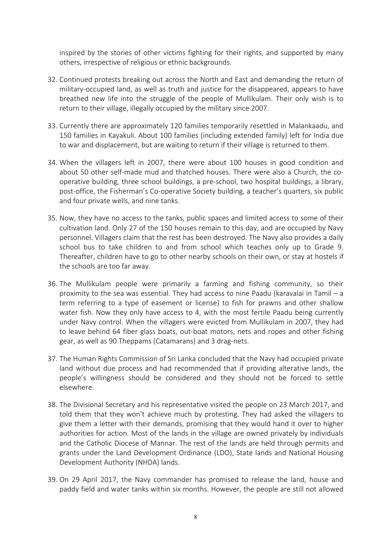inspired by the stories of other victims fighting for their rights, and supported by many others, irrespective of religious or ethnic backgrounds.

- 32. Continued protests breaking out across the North and East and demanding the return of military-occupied land, as well as truth and justice for the disappeared, appears to have breathed new life into the struggle of the people of Mullikulam. Their only wish is to return to their village, illegally occupied by the military since 2007.
- 33. Currently there are approximately 120 families temporarily resettled in Malankaadu, and 150 families in Kayakuli. About 100 families (including extended family) left for India due to war and displacement, but are waiting to return if their village is returned to them.
- 34. When the villagers left in 2007, there were about 100 houses in good condition and about 50 other self-made mud and thatched houses. There were also a Church, the cooperative building, three school buildings, a pre-school, two hospital buildings, a library, post-office, the Fisherman's Co-operative Society building, a teacher's quarters, six public and four private wells, and nine tanks.
- 35. Now, they have no access to the tanks, public spaces and limited access to some of their cultivation land. Only 27 of the 150 houses remain to this day, and are occupied by Navy personnel. Villagers claim that the rest has been destroyed. The Navy also provides a daily school bus to take children to and from school which teaches only up to Grade 9. Thereafter, children have to go to other nearby schools on their own, or stay at hostels if the schools are too far away.
- 36. The Mullikulam people were primarily a farming and fishing community, so their proximity to the sea was essential. They had access to nine Paadu (karavalai in Tamil – a term referring to a type of easement or license) to fish for prawns and other shallow water fish. Now they only have access to 4, with the most fertile Paadu being currently under Navy control. When the villagers were evicted from Mullikulam in 2007, they had to leave behind 64 fiber glass boats, out-boat motors, nets and ropes and other fishing gear, as well as 90 Theppams (Catamarans) and 3 drag-nets.
- 37. The Human Rights Commission of Sri Lanka concluded that the Navy had occupied private land without due process and had recommended that if providing alterative lands, the people's willingness should be considered and they should not be forced to settle elsewhere.
- 38. The Divisional Secretary and his representative visited the people on 23 March 2017, and told them that they won't achieve much by protesting. They had asked the villagers to give them a letter with their demands, promising that they would hand it over to higher authorities for action. Most of the lands in the village are owned privately by individuals and the Catholic Diocese of Mannar. The rest of the lands are held through permits and grants under the Land Development Ordinance (LDO), State lands and National Housing Development Authority (NHDA) lands.
- 39. On 29 April 2017, the Navy commander has promised to release the land, house and paddy field and water tanks within six months. However, the people are still not allowed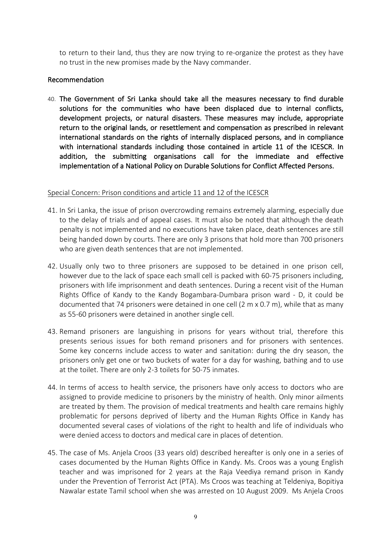to return to their land, thus they are now trying to re-organize the protest as they have no trust in the new promises made by the Navy commander.

#### Recommendation

40. The Government of Sri Lanka should take all the measures necessary to find durable solutions for the communities who have been displaced due to internal conflicts, development projects, or natural disasters. These measures may include, appropriate return to the original lands, or resettlement and compensation as prescribed in relevant international standards on the rights of internally displaced persons, and in compliance with international standards including those contained in article 11 of the ICESCR. In addition, the submitting organisations call for the immediate and effective implementation of a National Policy on Durable Solutions for Conflict Affected Persons.

#### Special Concern: Prison conditions and article 11 and 12 of the ICESCR

- 41. In Sri Lanka, the issue of prison overcrowding remains extremely alarming, especially due to the delay of trials and of appeal cases. It must also be noted that although the death penalty is not implemented and no executions have taken place, death sentences are still being handed down by courts. There are only 3 prisons that hold more than 700 prisoners who are given death sentences that are not implemented.
- 42. Usually only two to three prisoners are supposed to be detained in one prison cell, however due to the lack of space each small cell is packed with 60-75 prisoners including, prisoners with life imprisonment and death sentences. During a recent visit of the Human Rights Office of Kandy to the Kandy Bogambara-Dumbara prison ward - D, it could be documented that 74 prisoners were detained in one cell (2 m x 0.7 m), while that as many as 55-60 prisoners were detained in another single cell.
- 43. Remand prisoners are languishing in prisons for years without trial, therefore this presents serious issues for both remand prisoners and for prisoners with sentences. Some key concerns include access to water and sanitation: during the dry season, the prisoners only get one or two buckets of water for a day for washing, bathing and to use at the toilet. There are only 2-3 toilets for 50-75 inmates.
- 44. In terms of access to health service, the prisoners have only access to doctors who are assigned to provide medicine to prisoners by the ministry of health. Only minor ailments are treated by them. The provision of medical treatments and health care remains highly problematic for persons deprived of liberty and the Human Rights Office in Kandy has documented several cases of violations of the right to health and life of individuals who were denied access to doctors and medical care in places of detention.
- 45. The case of Ms. Anjela Croos (33 years old) described hereafter is only one in a series of cases documented by the Human Rights Office in Kandy. Ms. Croos was a young English teacher and was imprisoned for 2 years at the Raja Veediya remand prison in Kandy under the Prevention of Terrorist Act (PTA). Ms Croos was teaching at Teldeniya, Bopitiya Nawalar estate Tamil school when she was arrested on 10 August 2009. Ms Anjela Croos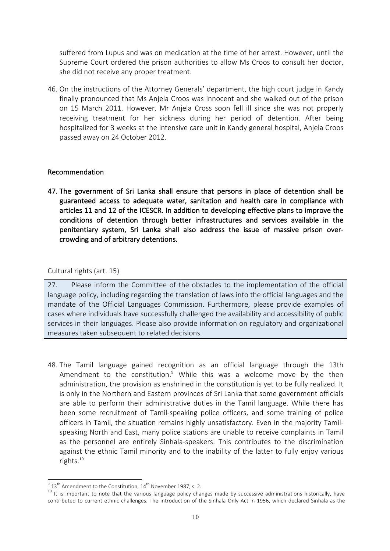suffered from Lupus and was on medication at the time of her arrest. However, until the Supreme Court ordered the prison authorities to allow Ms Croos to consult her doctor, she did not receive any proper treatment.

46. On the instructions of the Attorney Generals' department, the high court judge in Kandy finally pronounced that Ms Anjela Croos was innocent and she walked out of the prison on 15 March 2011. However, Mr Anjela Cross soon fell ill since she was not properly receiving treatment for her sickness during her period of detention. After being hospitalized for 3 weeks at the intensive care unit in Kandy general hospital, Anjela Croos passed away on 24 October 2012.

#### Recommendation

47. The government of Sri Lanka shall ensure that persons in place of detention shall be guaranteed access to adequate water, sanitation and health care in compliance with articles 11 and 12 of the ICESCR. In addition to developing effective plans to improve the conditions of detention through better infrastructures and services available in the penitentiary system, Sri Lanka shall also address the issue of massive prison overcrowding and of arbitrary detentions.

#### Cultural rights (art. 15)

27. Please inform the Committee of the obstacles to the implementation of the official language policy, including regarding the translation of laws into the official languages and the mandate of the Official Languages Commission. Furthermore, please provide examples of cases where individuals have successfully challenged the availability and accessibility of public services in their languages. Please also provide information on regulatory and organizational measures taken subsequent to related decisions.

48. The Tamil language gained recognition as an official language through the 13th Amendment to the constitution.<sup>9</sup> While this was a welcome move by the then administration, the provision as enshrined in the constitution is yet to be fully realized. It is only in the Northern and Eastern provinces of Sri Lanka that some government officials are able to perform their administrative duties in the Tamil language. While there has been some recruitment of Tamil-speaking police officers, and some training of police officers in Tamil, the situation remains highly unsatisfactory. Even in the majority Tamilspeaking North and East, many police stations are unable to receive complaints in Tamil as the personnel are entirely Sinhala-speakers. This contributes to the discrimination against the ethnic Tamil minority and to the inability of the latter to fully enjoy various rights. 10

<sup>&</sup>lt;sup>9</sup> 13<sup>th</sup> Amendment to the Constitution, 14<sup>th</sup> November 1987, s. 2.<br><sup>10</sup> It is important to note that the various language policy changes made by successive administrations historically, have contributed to current ethnic challenges. The introduction of the Sinhala Only Act in 1956, which declared Sinhala as the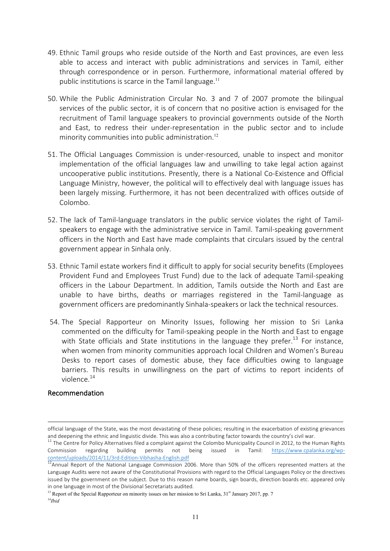- 49. Ethnic Tamil groups who reside outside of the North and East provinces, are even less able to access and interact with public administrations and services in Tamil, either through correspondence or in person. Furthermore, informational material offered by public institutions is scarce in the Tamil language.<sup>11</sup>
- 50. While the Public Administration Circular No. 3 and 7 of 2007 promote the bilingual services of the public sector, it is of concern that no positive action is envisaged for the recruitment of Tamil language speakers to provincial governments outside of the North and East, to redress their under-representation in the public sector and to include minority communities into public administration.<sup>12</sup>
- 51. The Official Languages Commission is under-resourced, unable to inspect and monitor implementation of the official languages law and unwilling to take legal action against uncooperative public institutions. Presently, there is a National Co-Existence and Official Language Ministry, however, the political will to effectively deal with language issues has been largely missing. Furthermore, it has not been decentralized with offices outside of Colombo.
- 52. The lack of Tamil-language translators in the public service violates the right of Tamilspeakers to engage with the administrative service in Tamil. Tamil-speaking government officers in the North and East have made complaints that circulars issued by the central government appear in Sinhala only.
- 53. Ethnic Tamil estate workers find it difficult to apply for social security benefits (Employees Provident Fund and Employees Trust Fund) due to the lack of adequate Tamil-speaking officers in the Labour Department. In addition, Tamils outside the North and East are unable to have births, deaths or marriages registered in the Tamil-language as government officers are predominantly Sinhala-speakers or lack the technical resources.
- 54. The Special Rapporteur on Minority Issues, following her mission to Sri Lanka commented on the difficulty for Tamil-speaking people in the North and East to engage with State officials and State institutions in the language they prefer.<sup>13</sup> For instance, when women from minority communities approach local Children and Women's Bureau Desks to report cases of domestic abuse, they face difficulties owing to language barriers. This results in unwillingness on the part of victims to report incidents of violence.<sup>14</sup>

#### Recommendation

 $\overline{a}$ 

official language of the State, was the most devastating of these policies; resulting in the exacerbation of existing grievances and deepening the ethnic and linguistic divide. This was also a contributing factor towards the country's civil war.

<sup>11</sup> The Centre for Policy Alternatives filed a complaint against the Colombo Municipality Council in 2012, to the Human Rights Commission regarding building permits not being issued in Tamil: https://www.cpalanka.org/wpcontent/uploads/2014/11/3rd-Edition-Vibhasha-English.pdf<br>
<sup>12</sup>Annual Report of the National Language Commission 2006. More than 50% of the officers represented matters at the

Language Audits were not aware of the Constitutional Provisions with regard to the Official Languages Policy or the directives issued by the government on the subject. Due to this reason name boards, sign boards, direction boards etc. appeared only in one language in most of the Divisional Secretariats audited.

<sup>&</sup>lt;sup>13</sup> Report of the Special Rapporteur on minority issues on her mission to Sri Lanka, 31<sup>st</sup> January 2017, pp. 7 <sup>14</sup>*Ibid*